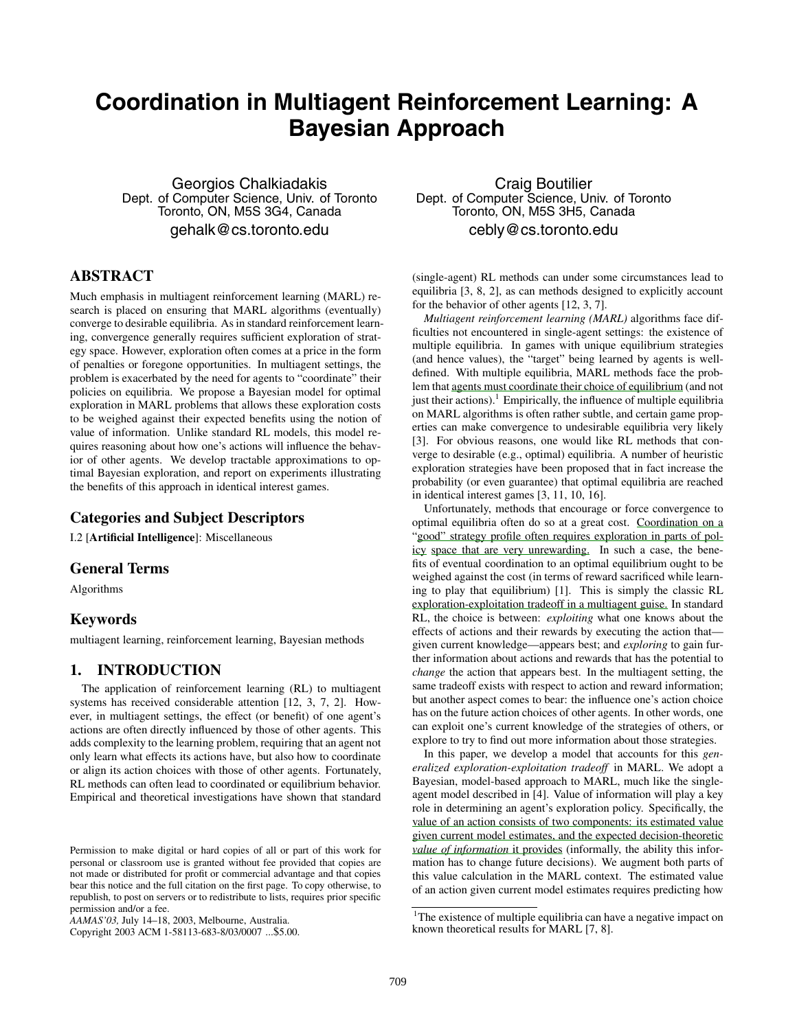# **Coordination in Multiagent Reinforcement Learning: A Bayesian Approach**

Georgios Chalkiadakis Dept. of Computer Science, Univ. of Toronto Toronto, ON, M5S 3G4, Canada gehalk@cs.toronto.edu

# **ABSTRACT**

Much emphasis in multiagent reinforcement learning (MARL) research is placed on ensuring that MARL algorithms (eventually) converge to desirable equilibria. As in standard reinforcement learning, convergence generally requires sufficient exploration of strategy space. However, exploration often comes at a price in the form of penalties or foregone opportunities. In multiagent settings, the problem is exacerbated by the need for agents to "coordinate" their policies on equilibria. We propose a Bayesian model for optimal exploration in MARL problems that allows these exploration costs to be weighed against their expected benefits using the notion of value of information. Unlike standard RL models, this model requires reasoning about how one's actions will influence the behavior of other agents. We develop tractable approximations to optimal Bayesian exploration, and report on experiments illustrating the benefits of this approach in identical interest games.

## **Categories and Subject Descriptors**

I.2 [**Artificial Intelligence**]: Miscellaneous

#### **General Terms**

Algorithms

## **Keywords**

multiagent learning, reinforcement learning, Bayesian methods

### **1. INTRODUCTION**

The application of reinforcement learning (RL) to multiagent systems has received considerable attention [12, 3, 7, 2]. However, in multiagent settings, the effect (or benefit) of one agent's actions are often directly influenced by those of other agents. This adds complexity to the learning problem, requiring that an agent not only learn what effects its actions have, but also how to coordinate or align its action choices with those of other agents. Fortunately, RL methods can often lead to coordinated or equilibrium behavior. Empirical and theoretical investigations have shown that standard

Copyright 2003 ACM 1-58113-683-8/03/0007 ...\$5.00.

Craig Boutilier Dept. of Computer Science, Univ. of Toronto Toronto, ON, M5S 3H5, Canada cebly@cs.toronto.edu

(single-agent) RL methods can under some circumstances lead to equilibria [3, 8, 2], as can methods designed to explicitly account for the behavior of other agents [12, 3, 7].

*Multiagent reinforcement learning (MARL)* algorithms face difficulties not encountered in single-agent settings: the existence of multiple equilibria. In games with unique equilibrium strategies (and hence values), the "target" being learned by agents is welldefined. With multiple equilibria, MARL methods face the problem that agents must coordinate their choice of equilibrium (and not just their actions).<sup>1</sup> Empirically, the influence of multiple equilibria on MARL algorithms is often rather subtle, and certain game properties can make convergence to undesirable equilibria very likely [3]. For obvious reasons, one would like RL methods that converge to desirable (e.g., optimal) equilibria. A number of heuristic exploration strategies have been proposed that in fact increase the probability (or even guarantee) that optimal equilibria are reached in identical interest games [3, 11, 10, 16].

Unfortunately, methods that encourage or force convergence to optimal equilibria often do so at a great cost. Coordination on a "good" strategy profile often requires exploration in parts of policy space that are very unrewarding. In such a case, the benefits of eventual coordination to an optimal equilibrium ought to be weighed against the cost (in terms of reward sacrificed while learning to play that equilibrium) [1]. This is simply the classic RL exploration-exploitation tradeoff in a multiagent guise. In standard RL, the choice is between: *exploiting* what one knows about the effects of actions and their rewards by executing the action that given current knowledge—appears best; and *exploring* to gain further information about actions and rewards that has the potential to *change* the action that appears best. In the multiagent setting, the same tradeoff exists with respect to action and reward information; but another aspect comes to bear: the influence one's action choice has on the future action choices of other agents. In other words, one can exploit one's current knowledge of the strategies of others, or explore to try to find out more information about those strategies.

In this paper, we develop a model that accounts for this *generalized exploration-exploitation tradeoff* in MARL. We adopt a Bayesian, model-based approach to MARL, much like the singleagent model described in [4]. Value of information will play a key role in determining an agent's exploration policy. Specifically, the value of an action consists of two components: its estimated value given current model estimates, and the expected decision-theoretic *value of information* it provides (informally, the ability this information has to change future decisions). We augment both parts of this value calculation in the MARL context. The estimated value of an action given current model estimates requires predicting how

Permission to make digital or hard copies of all or part of this work for personal or classroom use is granted without fee provided that copies are not made or distributed for profit or commercial advantage and that copies bear this notice and the full citation on the first page. To copy otherwise, to republish, to post on servers or to redistribute to lists, requires prior specific permission and/or a fee.

*AAMAS'03,* July 14–18, 2003, Melbourne, Australia.

<sup>&</sup>lt;sup>1</sup>The existence of multiple equilibria can have a negative impact on known theoretical results for MARL [7, 8].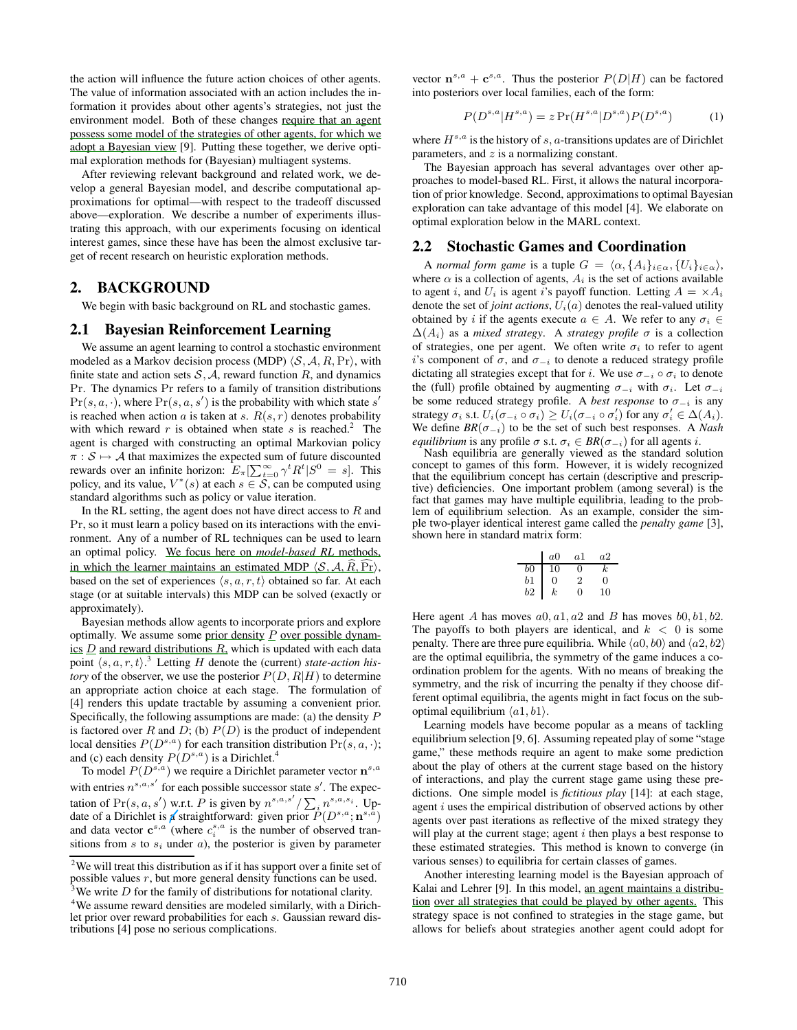the action will influence the future action choices of other agents. The value of information associated with an action includes the information it provides about other agents's strategies, not just the environment model. Both of these changes require that an agent possess some model of the strategies of other agents, for which we adopt a Bayesian view [9]. Putting these together, we derive optimal exploration methods for (Bayesian) multiagent systems.

After reviewing relevant background and related work, we develop a general Bayesian model, and describe computational approximations for optimal—with respect to the tradeoff discussed above—exploration. We describe a number of experiments illustrating this approach, with our experiments focusing on identical interest games, since these have has been the almost exclusive target of recent research on heuristic exploration methods.

#### **2. BACKGROUND**

We begin with basic background on RL and stochastic games.

#### **2.1 Bayesian Reinforcement Learning**

We assume an agent learning to control a stochastic environment modeled as a Markov decision process (MDP)  $\langle S, A, R, Pr \rangle$ , with finite state and action sets  $S, A$ , reward function R, and dynamics Pr. The dynamics Pr refers to a family of transition distributions  $Pr(s, a, \cdot)$ , where  $Pr(s, a, s')$  is the probability with which state s' is reached when action a is taken at s.  $R(s, r)$  denotes probability with which reward r is obtained when state s is reached.<sup>2</sup> The agent is charged with constructing an optimal Markovian policy  $\pi : \mathcal{S} \mapsto \mathcal{A}$  that maximizes the expected sum of future discounted rewards over an infinite horizon:  $E_{\pi}[\sum_{t=0}^{\infty} \gamma^t R^t | S^0 = s]$ . This policy, and its value,  $V^*(s)$  at each  $s \in S$ , can be computed using standard algorithms such as policy or value iteration.

In the RL setting, the agent does not have direct access to  $R$  and Pr, so it must learn a policy based on its interactions with the environment. Any of a number of RL techniques can be used to learn an optimal policy. We focus here on *model-based RL* methods, in which the learner maintains an estimated MDP  $\langle S, A, R, Pr \rangle$ , based on the set of experiences  $\langle s, a, r, t \rangle$  obtained so far. At each stage (or at suitable intervals) this MDP can be solved (exactly or approximately).

Bayesian methods allow agents to incorporate priors and explore optimally. We assume some prior density  $P$  over possible dynamics  $D$  and reward distributions  $R$ , which is updated with each data point  $\langle s, a, r, t \rangle$ <sup>3</sup> Letting H denote the (current) *state-action history* of the observer, we use the posterior  $P(D, R|H)$  to determine an appropriate action choice at each stage. The formulation of [4] renders this update tractable by assuming a convenient prior. Specifically, the following assumptions are made: (a) the density P is factored over R and D; (b)  $P(D)$  is the product of independent local densities  $P(D^{s,a})$  for each transition distribution  $Pr(s, a, \cdot);$ and (c) each density  $P(D^{s,a})$  is a Dirichlet.<sup>4</sup>

To model  $P(D^{s,a})$  we require a Dirichlet parameter vector  $\mathbf{n}^{s,a}$ with entries  $n^{s,a,s'}$  for each possible successor state s'. The expectation of Pr(s, a, s') w.r.t. P is given by  $n^{s,a,s'}/\sum_i n^{s,a,s_i}$ . Update of a Dirichlet is **a** straightforward: given prior  $P(D^{s,a}; \mathbf{n}^{s,a})$ and data vector  $\mathbf{c}^{s,a}$  (where  $c_i^{s,a}$  is the number of observed transitions from  $s$  to  $s_i$  under  $a$ ), the posterior is given by parameter

vector  $\mathbf{n}^{s,a} + \mathbf{c}^{s,a}$ . Thus the posterior  $P(D|H)$  can be factored into posteriors over local families, each of the form:

$$
P(D^{s,a}|H^{s,a}) = z \Pr(H^{s,a}|D^{s,a})P(D^{s,a}) \tag{1}
$$

where  $H^{s,a}$  is the history of s, a-transitions updates are of Dirichlet parameters, and  $z$  is a normalizing constant.

The Bayesian approach has several advantages over other approaches to model-based RL. First, it allows the natural incorporation of prior knowledge. Second, approximations to optimal Bayesian exploration can take advantage of this model [4]. We elaborate on optimal exploration below in the MARL context.

#### **2.2 Stochastic Games and Coordination**

A *normal form game* is a tuple  $G = \langle \alpha, \{A_i\}_{i \in \alpha}, \{U_i\}_{i \in \alpha} \rangle$ , where  $\alpha$  is a collection of agents,  $A_i$  is the set of actions available to agent i, and  $U_i$  is agent i's payoff function. Letting  $A = \times A_i$ denote the set of *joint actions*,  $U_i(a)$  denotes the real-valued utility obtained by i if the agents execute  $a \in A$ . We refer to any  $\sigma_i \in$  $\Delta(A_i)$  as a *mixed strategy*. A *strategy profile*  $\sigma$  is a collection of strategies, one per agent. We often write  $\sigma_i$  to refer to agent i's component of  $\sigma$ , and  $\sigma_{-i}$  to denote a reduced strategy profile dictating all strategies except that for i. We use  $\sigma_{-i} \circ \sigma_i$  to denote the (full) profile obtained by augmenting  $\sigma_{-i}$  with  $\sigma_i$ . Let  $\sigma_{-i}$ be some reduced strategy profile. A *best response* to  $\sigma_{-i}$  is any strategy  $\sigma_i$  s.t.  $U_i(\sigma_{-i} \circ \sigma_i) \geq U_i(\sigma_{-i} \circ \sigma'_i)$  for any  $\sigma'_i \in \Delta(A_i)$ . We define  $BR(\sigma_{-i})$  to be the set of such best responses. A *Nash equilibrium* is any profile  $\sigma$  s.t.  $\sigma_i \in BR(\sigma_{-i})$  for all agents *i*.

Nash equilibria are generally viewed as the standard solution concept to games of this form. However, it is widely recognized that the equilibrium concept has certain (descriptive and prescriptive) deficiencies. One important problem (among several) is the fact that games may have multiple equilibria, leading to the problem of equilibrium selection. As an example, consider the simple two-player identical interest game called the *penalty game* [3], shown here in standard matrix form:

|                | a <sub>0</sub> | a1             | a2          |
|----------------|----------------|----------------|-------------|
| $_{b0}$        | 10             | 0              | $_{\kappa}$ |
| $_{b1}$        | 0              | $\overline{2}$ | 0           |
| b <sub>2</sub> | k              | 0              | 10          |

Here agent A has moves  $a0$ ,  $a1$ ,  $a2$  and B has moves  $b0$ ,  $b1$ ,  $b2$ . The payoffs to both players are identical, and  $k < 0$  is some penalty. There are three pure equilibria. While  $\langle a0, b0 \rangle$  and  $\langle a2, b2 \rangle$ are the optimal equilibria, the symmetry of the game induces a coordination problem for the agents. With no means of breaking the symmetry, and the risk of incurring the penalty if they choose different optimal equilibria, the agents might in fact focus on the suboptimal equilibrium  $\langle a1, b1 \rangle$ .

Learning models have become popular as a means of tackling equilibrium selection [9, 6]. Assuming repeated play of some "stage game," these methods require an agent to make some prediction about the play of others at the current stage based on the history of interactions, and play the current stage game using these predictions. One simple model is *fictitious play* [14]: at each stage, agent  $i$  uses the empirical distribution of observed actions by other agents over past iterations as reflective of the mixed strategy they will play at the current stage; agent  $i$  then plays a best response to these estimated strategies. This method is known to converge (in various senses) to equilibria for certain classes of games.

Another interesting learning model is the Bayesian approach of Kalai and Lehrer [9]. In this model, an agent maintains a distribution over all strategies that could be played by other agents. This strategy space is not confined to strategies in the stage game, but allows for beliefs about strategies another agent could adopt for

 $2$ We will treat this distribution as if it has support over a finite set of possible values  $r$ , but more general density functions can be used. <sup>3</sup>We write D for the family of distributions for notational clarity.

<sup>&</sup>lt;sup>4</sup>We assume reward densities are modeled similarly, with a Dirichlet prior over reward probabilities for each s. Gaussian reward distributions [4] pose no serious complications.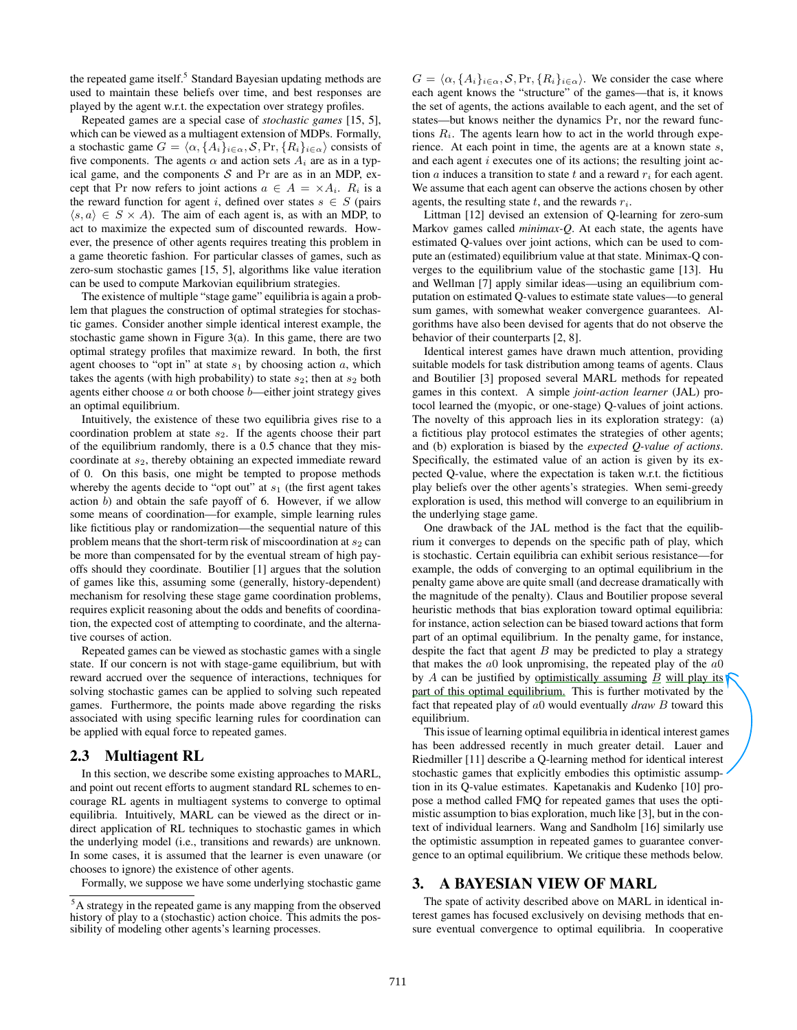the repeated game itself.<sup>5</sup> Standard Bayesian updating methods are used to maintain these beliefs over time, and best responses are played by the agent w.r.t. the expectation over strategy profiles.

Repeated games are a special case of *stochastic games* [15, 5], which can be viewed as a multiagent extension of MDPs. Formally, a stochastic game  $G = \langle \alpha, \{A_i\}_{i \in \alpha}, \mathcal{S}, \text{Pr}, \{R_i\}_{i \in \alpha} \rangle$  consists of five components. The agents  $\alpha$  and action sets  $A_i$  are as in a typical game, and the components  $S$  and  $Pr$  are as in an MDP, except that Pr now refers to joint actions  $a \in A = \times A_i$ .  $R_i$  is a the reward function for agent i, defined over states  $s \in S$  (pairs  $\langle s, a \rangle \in S \times A$ ). The aim of each agent is, as with an MDP, to act to maximize the expected sum of discounted rewards. However, the presence of other agents requires treating this problem in a game theoretic fashion. For particular classes of games, such as zero-sum stochastic games [15, 5], algorithms like value iteration can be used to compute Markovian equilibrium strategies.

The existence of multiple "stage game" equilibria is again a problem that plagues the construction of optimal strategies for stochastic games. Consider another simple identical interest example, the stochastic game shown in Figure 3(a). In this game, there are two optimal strategy profiles that maximize reward. In both, the first agent chooses to "opt in" at state  $s_1$  by choosing action  $a$ , which takes the agents (with high probability) to state  $s_2$ ; then at  $s_2$  both agents either choose  $a$  or both choose  $b$ —either joint strategy gives an optimal equilibrium.

Intuitively, the existence of these two equilibria gives rise to a coordination problem at state  $s_2$ . If the agents choose their part of the equilibrium randomly, there is a 0.5 chance that they miscoordinate at  $s_2$ , thereby obtaining an expected immediate reward of 0. On this basis, one might be tempted to propose methods whereby the agents decide to "opt out" at  $s_1$  (the first agent takes action b) and obtain the safe payoff of 6. However, if we allow some means of coordination—for example, simple learning rules like fictitious play or randomization—the sequential nature of this problem means that the short-term risk of miscoordination at  $s_2$  can be more than compensated for by the eventual stream of high payoffs should they coordinate. Boutilier [1] argues that the solution of games like this, assuming some (generally, history-dependent) mechanism for resolving these stage game coordination problems, requires explicit reasoning about the odds and benefits of coordination, the expected cost of attempting to coordinate, and the alternative courses of action.

Repeated games can be viewed as stochastic games with a single state. If our concern is not with stage-game equilibrium, but with reward accrued over the sequence of interactions, techniques for solving stochastic games can be applied to solving such repeated games. Furthermore, the points made above regarding the risks associated with using specific learning rules for coordination can be applied with equal force to repeated games.

#### **2.3 Multiagent RL**

In this section, we describe some existing approaches to MARL, and point out recent efforts to augment standard RL schemes to encourage RL agents in multiagent systems to converge to optimal equilibria. Intuitively, MARL can be viewed as the direct or indirect application of RL techniques to stochastic games in which the underlying model (i.e., transitions and rewards) are unknown. In some cases, it is assumed that the learner is even unaware (or chooses to ignore) the existence of other agents.

Formally, we suppose we have some underlying stochastic game

 $G = \langle \alpha, \{A_i\}_{i \in \alpha}, S, \text{Pr}, \{R_i\}_{i \in \alpha} \rangle$ . We consider the case where each agent knows the "structure" of the games—that is, it knows the set of agents, the actions available to each agent, and the set of states—but knows neither the dynamics Pr, nor the reward functions  $R_i$ . The agents learn how to act in the world through experience. At each point in time, the agents are at a known state s, and each agent *i* executes one of its actions; the resulting joint action  $a$  induces a transition to state  $t$  and a reward  $r_i$  for each agent. We assume that each agent can observe the actions chosen by other agents, the resulting state  $t$ , and the rewards  $r_i$ .

Littman [12] devised an extension of Q-learning for zero-sum Markov games called *minimax-Q*. At each state, the agents have estimated Q-values over joint actions, which can be used to compute an (estimated) equilibrium value at that state. Minimax-Q converges to the equilibrium value of the stochastic game [13]. Hu and Wellman [7] apply similar ideas—using an equilibrium computation on estimated Q-values to estimate state values—to general sum games, with somewhat weaker convergence guarantees. Algorithms have also been devised for agents that do not observe the behavior of their counterparts [2, 8].

Identical interest games have drawn much attention, providing suitable models for task distribution among teams of agents. Claus and Boutilier [3] proposed several MARL methods for repeated games in this context. A simple *joint-action learner* (JAL) protocol learned the (myopic, or one-stage) Q-values of joint actions. The novelty of this approach lies in its exploration strategy: (a) a fictitious play protocol estimates the strategies of other agents; and (b) exploration is biased by the *expected Q-value of actions*. Specifically, the estimated value of an action is given by its expected Q-value, where the expectation is taken w.r.t. the fictitious play beliefs over the other agents's strategies. When semi-greedy exploration is used, this method will converge to an equilibrium in the underlying stage game.

One drawback of the JAL method is the fact that the equilibrium it converges to depends on the specific path of play, which is stochastic. Certain equilibria can exhibit serious resistance—for example, the odds of converging to an optimal equilibrium in the penalty game above are quite small (and decrease dramatically with the magnitude of the penalty). Claus and Boutilier propose several heuristic methods that bias exploration toward optimal equilibria: for instance, action selection can be biased toward actions that form part of an optimal equilibrium. In the penalty game, for instance, despite the fact that agent  $B$  may be predicted to play a strategy that makes the  $a0$  look unpromising, the repeated play of the  $a0$ by A can be justified by optimistically assuming  $\underline{B}$  will play its part of this optimal equilibrium. This is further motivated by the fact that repeated play of a0 would eventually *draw* B toward this equilibrium.

This issue of learning optimal equilibria in identical interest games has been addressed recently in much greater detail. Lauer and Riedmiller [11] describe a Q-learning method for identical interest stochastic games that explicitly embodies this optimistic assumption in its Q-value estimates. Kapetanakis and Kudenko [10] propose a method called FMQ for repeated games that uses the optimistic assumption to bias exploration, much like [3], but in the context of individual learners. Wang and Sandholm [16] similarly use the optimistic assumption in repeated games to guarantee convergence to an optimal equilibrium. We critique these methods below.

### **3. A BAYESIAN VIEW OF MARL**

The spate of activity described above on MARL in identical interest games has focused exclusively on devising methods that ensure eventual convergence to optimal equilibria. In cooperative

<sup>&</sup>lt;sup>5</sup>A strategy in the repeated game is any mapping from the observed history of play to a (stochastic) action choice. This admits the possibility of modeling other agents's learning processes.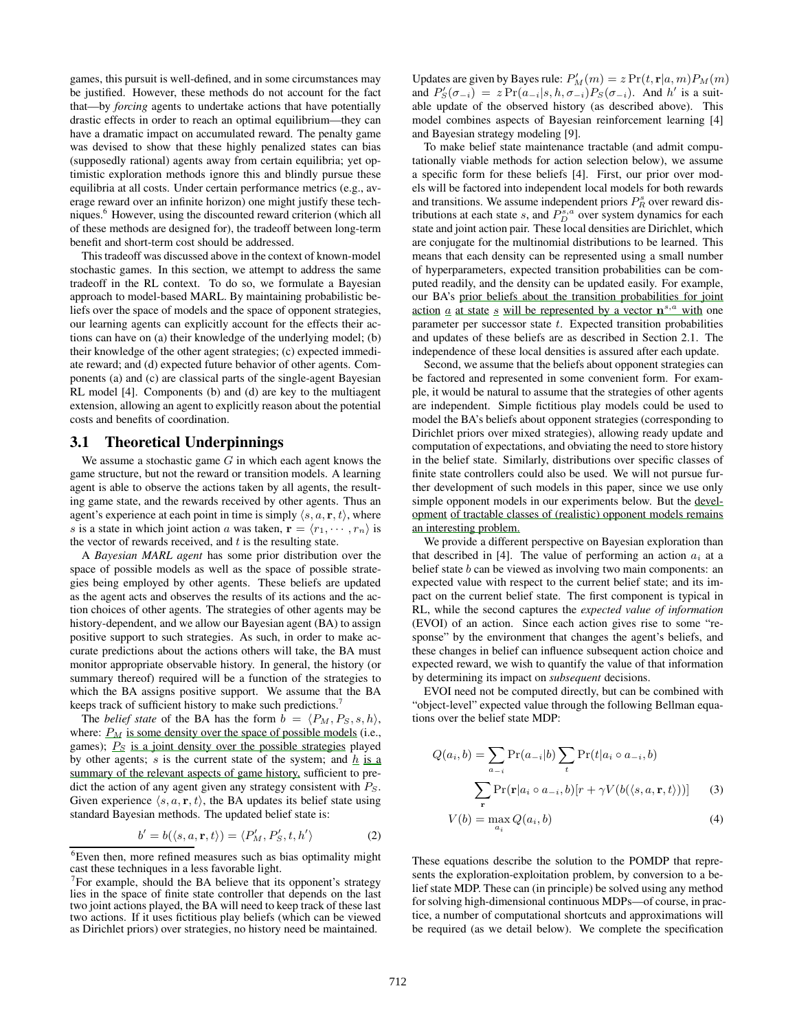games, this pursuit is well-defined, and in some circumstances may be justified. However, these methods do not account for the fact that—by *forcing* agents to undertake actions that have potentially drastic effects in order to reach an optimal equilibrium—they can have a dramatic impact on accumulated reward. The penalty game was devised to show that these highly penalized states can bias (supposedly rational) agents away from certain equilibria; yet optimistic exploration methods ignore this and blindly pursue these equilibria at all costs. Under certain performance metrics (e.g., average reward over an infinite horizon) one might justify these techniques.<sup>6</sup> However, using the discounted reward criterion (which all of these methods are designed for), the tradeoff between long-term benefit and short-term cost should be addressed.

This tradeoff was discussed above in the context of known-model stochastic games. In this section, we attempt to address the same tradeoff in the RL context. To do so, we formulate a Bayesian approach to model-based MARL. By maintaining probabilistic beliefs over the space of models and the space of opponent strategies, our learning agents can explicitly account for the effects their actions can have on (a) their knowledge of the underlying model; (b) their knowledge of the other agent strategies; (c) expected immediate reward; and (d) expected future behavior of other agents. Components (a) and (c) are classical parts of the single-agent Bayesian RL model [4]. Components (b) and (d) are key to the multiagent extension, allowing an agent to explicitly reason about the potential costs and benefits of coordination.

## **3.1 Theoretical Underpinnings**

We assume a stochastic game  $G$  in which each agent knows the game structure, but not the reward or transition models. A learning agent is able to observe the actions taken by all agents, the resulting game state, and the rewards received by other agents. Thus an agent's experience at each point in time is simply  $\langle s, a, \mathbf{r}, t \rangle$ , where s is a state in which joint action a was taken,  $\mathbf{r} = \langle r_1, \dots, r_n \rangle$  is the vector of rewards received, and  $t$  is the resulting state.

A *Bayesian MARL agent* has some prior distribution over the space of possible models as well as the space of possible strategies being employed by other agents. These beliefs are updated as the agent acts and observes the results of its actions and the action choices of other agents. The strategies of other agents may be history-dependent, and we allow our Bayesian agent (BA) to assign positive support to such strategies. As such, in order to make accurate predictions about the actions others will take, the BA must monitor appropriate observable history. In general, the history (or summary thereof) required will be a function of the strategies to which the BA assigns positive support. We assume that the BA keeps track of sufficient history to make such predictions.<sup>7</sup>

The *belief state* of the BA has the form  $b = \langle P_M, P_S, s, h \rangle$ , where:  $P_M$  is some density over the space of possible models (i.e., games);  $P<sub>S</sub>$  is a joint density over the possible strategies played by other agents; s is the current state of the system; and  $h$  is a summary of the relevant aspects of game history, sufficient to predict the action of any agent given any strategy consistent with  $P_S$ . Given experience  $\langle s, a, r, t \rangle$ , the BA updates its belief state using standard Bayesian methods. The updated belief state is:

$$
b' = b(\langle s, a, \mathbf{r}, t \rangle) = \langle P'_M, P'_S, t, h' \rangle \tag{2}
$$

Updates are given by Bayes rule:  $P'_M(m) = z \Pr(t, \mathbf{r}|a, m) P_M(m)$ and  $P'_{S}(\sigma_{-i}) = z \Pr(a_{-i}|s, h, \sigma_{-i}) P_{S}(\sigma_{-i})$ . And  $h'$  is a suitable update of the observed history (as described above). This model combines aspects of Bayesian reinforcement learning [4] and Bayesian strategy modeling [9].

To make belief state maintenance tractable (and admit computationally viable methods for action selection below), we assume a specific form for these beliefs [4]. First, our prior over models will be factored into independent local models for both rewards and transitions. We assume independent priors  $P_R^s$  over reward distributions at each state s, and  $P_D^{s,a}$  over system dynamics for each state and joint action pair. These local densities are Dirichlet, which are conjugate for the multinomial distributions to be learned. This means that each density can be represented using a small number of hyperparameters, expected transition probabilities can be computed readily, and the density can be updated easily. For example, our BA's prior beliefs about the transition probabilities for joint <u>action  $\alpha$ </u> at state  $\beta$  will be represented by a vector  $\mathbf{n}^{s,a}$  with one parameter per successor state  $t$ . Expected transition probabilities and updates of these beliefs are as described in Section 2.1. The independence of these local densities is assured after each update.

Second, we assume that the beliefs about opponent strategies can be factored and represented in some convenient form. For example, it would be natural to assume that the strategies of other agents are independent. Simple fictitious play models could be used to model the BA's beliefs about opponent strategies (corresponding to Dirichlet priors over mixed strategies), allowing ready update and computation of expectations, and obviating the need to store history in the belief state. Similarly, distributions over specific classes of finite state controllers could also be used. We will not pursue further development of such models in this paper, since we use only simple opponent models in our experiments below. But the development of tractable classes of (realistic) opponent models remains an interesting problem.

We provide a different perspective on Bayesian exploration than that described in [4]. The value of performing an action  $a_i$  at a belief state b can be viewed as involving two main components: an expected value with respect to the current belief state; and its impact on the current belief state. The first component is typical in RL, while the second captures the *expected value of information* (EVOI) of an action. Since each action gives rise to some "response" by the environment that changes the agent's beliefs, and these changes in belief can influence subsequent action choice and expected reward, we wish to quantify the value of that information by determining its impact on *subsequent* decisions.

EVOI need not be computed directly, but can be combined with "object-level" expected value through the following Bellman equations over the belief state MDP:

$$
Q(a_i, b) = \sum_{a_{-i}} \Pr(a_{-i}|b) \sum_t \Pr(t|a_i \circ a_{-i}, b)
$$

$$
\sum_{\mathbf{r}} \Pr(\mathbf{r}|a_i \circ a_{-i}, b)[r + \gamma V(b(\langle s, a, \mathbf{r}, t \rangle))]
$$
(3)

$$
V(b) = \max_{a_i} Q(a_i, b)
$$
 (4)

These equations describe the solution to the POMDP that represents the exploration-exploitation problem, by conversion to a belief state MDP. These can (in principle) be solved using any method for solving high-dimensional continuous MDPs—of course, in practice, a number of computational shortcuts and approximations will be required (as we detail below). We complete the specification

<sup>&</sup>lt;sup>6</sup>Even then, more refined measures such as bias optimality might cast these techniques in a less favorable light.

 $7$  For example, should the BA believe that its opponent's strategy lies in the space of finite state controller that depends on the last two joint actions played, the BA will need to keep track of these last two actions. If it uses fictitious play beliefs (which can be viewed as Dirichlet priors) over strategies, no history need be maintained.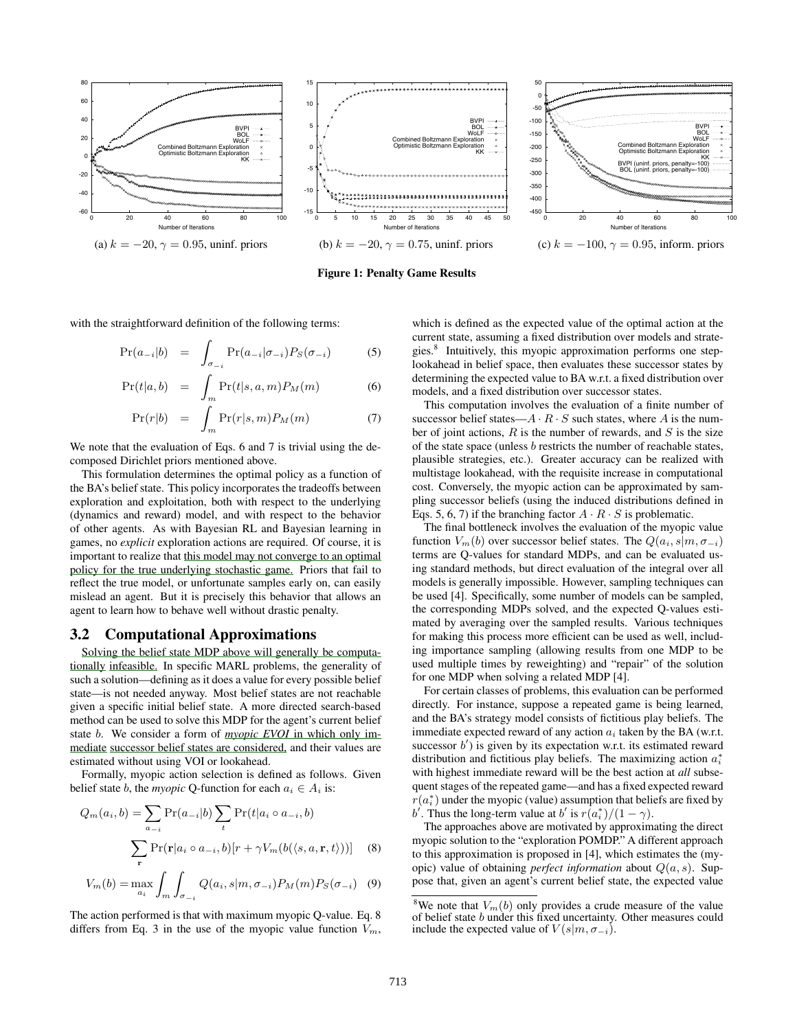

**Figure 1: Penalty Game Results**

with the straightforward definition of the following terms:

$$
\Pr(a_{-i}|b) = \int_{\sigma_{-i}} \Pr(a_{-i}|\sigma_{-i}) P_S(\sigma_{-i}) \tag{5}
$$

$$
Pr(t|a, b) = \int_{m} Pr(t|s, a, m) P_M(m)
$$
 (6)

$$
\Pr(r|b) = \int_{m} \Pr(r|s,m) P_M(m) \tag{7}
$$

We note that the evaluation of Eqs. 6 and 7 is trivial using the decomposed Dirichlet priors mentioned above.

This formulation determines the optimal policy as a function of the BA's belief state. This policy incorporates the tradeoffs between exploration and exploitation, both with respect to the underlying (dynamics and reward) model, and with respect to the behavior of other agents. As with Bayesian RL and Bayesian learning in games, no *explicit* exploration actions are required. Of course, it is important to realize that this model may not converge to an optimal policy for the true underlying stochastic game. Priors that fail to reflect the true model, or unfortunate samples early on, can easily mislead an agent. But it is precisely this behavior that allows an agent to learn how to behave well without drastic penalty.

#### **3.2 Computational Approximations**

Solving the belief state MDP above will generally be computationally infeasible. In specific MARL problems, the generality of such a solution—defining as it does a value for every possible belief state—is not needed anyway. Most belief states are not reachable given a specific initial belief state. A more directed search-based method can be used to solve this MDP for the agent's current belief state b. We consider a form of *myopic EVOI* in which only immediate successor belief states are considered, and their values are estimated without using VOI or lookahead.

Formally, myopic action selection is defined as follows. Given belief state *b*, the *myopic* Q-function for each  $a_i \in A_i$  is:

$$
Q_m(a_i, b) = \sum_{a_{-i}} \Pr(a_{-i}|b) \sum_t \Pr(t|a_i \circ a_{-i}, b)
$$

$$
\sum_{\mathbf{r}} \Pr(\mathbf{r}|a_i \circ a_{-i}, b)[r + \gamma V_m(b(\langle s, a, \mathbf{r}, t \rangle))]
$$
(8)

$$
V_m(b) = \max_{a_i} \int_m \int_{\sigma_{-i}} Q(a_i, s | m, \sigma_{-i}) P_M(m) P_S(\sigma_{-i}) \quad (9)
$$

The action performed is that with maximum myopic Q-value. Eq. 8 differs from Eq. 3 in the use of the myopic value function  $V_m$ ,

which is defined as the expected value of the optimal action at the current state, assuming a fixed distribution over models and strategies.<sup>8</sup> Intuitively, this myopic approximation performs one steplookahead in belief space, then evaluates these successor states by determining the expected value to BA w.r.t. a fixed distribution over models, and a fixed distribution over successor states.

This computation involves the evaluation of a finite number of successor belief states— $A \cdot R \cdot S$  such states, where A is the number of joint actions,  $R$  is the number of rewards, and  $S$  is the size of the state space (unless b restricts the number of reachable states, plausible strategies, etc.). Greater accuracy can be realized with multistage lookahead, with the requisite increase in computational cost. Conversely, the myopic action can be approximated by sampling successor beliefs (using the induced distributions defined in Eqs. 5, 6, 7) if the branching factor  $A \cdot R \cdot S$  is problematic.

The final bottleneck involves the evaluation of the myopic value function  $V_m(b)$  over successor belief states. The  $Q(a_i, s|m, \sigma_{-i})$ terms are Q-values for standard MDPs, and can be evaluated using standard methods, but direct evaluation of the integral over all models is generally impossible. However, sampling techniques can be used [4]. Specifically, some number of models can be sampled, the corresponding MDPs solved, and the expected Q-values estimated by averaging over the sampled results. Various techniques for making this process more efficient can be used as well, including importance sampling (allowing results from one MDP to be used multiple times by reweighting) and "repair" of the solution for one MDP when solving a related MDP [4].

For certain classes of problems, this evaluation can be performed directly. For instance, suppose a repeated game is being learned, and the BA's strategy model consists of fictitious play beliefs. The immediate expected reward of any action  $a_i$  taken by the BA (w.r.t. successor  $b'$ ) is given by its expectation w.r.t. its estimated reward distribution and fictitious play beliefs. The maximizing action  $a_i^*$ with highest immediate reward will be the best action at *all* subsequent stages of the repeated game—and has a fixed expected reward  $r(a_i^*)$  under the myopic (value) assumption that beliefs are fixed by b'. Thus the long-term value at b' is  $r(a_i^*)/(1-\gamma)$ .

The approaches above are motivated by approximating the direct myopic solution to the "exploration POMDP." A different approach to this approximation is proposed in [4], which estimates the (myopic) value of obtaining *perfect information* about Q(a, s). Suppose that, given an agent's current belief state, the expected value

<sup>&</sup>lt;sup>8</sup>We note that  $V_m(b)$  only provides a crude measure of the value of belief state b under this fixed uncertainty. Other measures could include the expected value of  $V(s|m, \sigma_{-i})$ .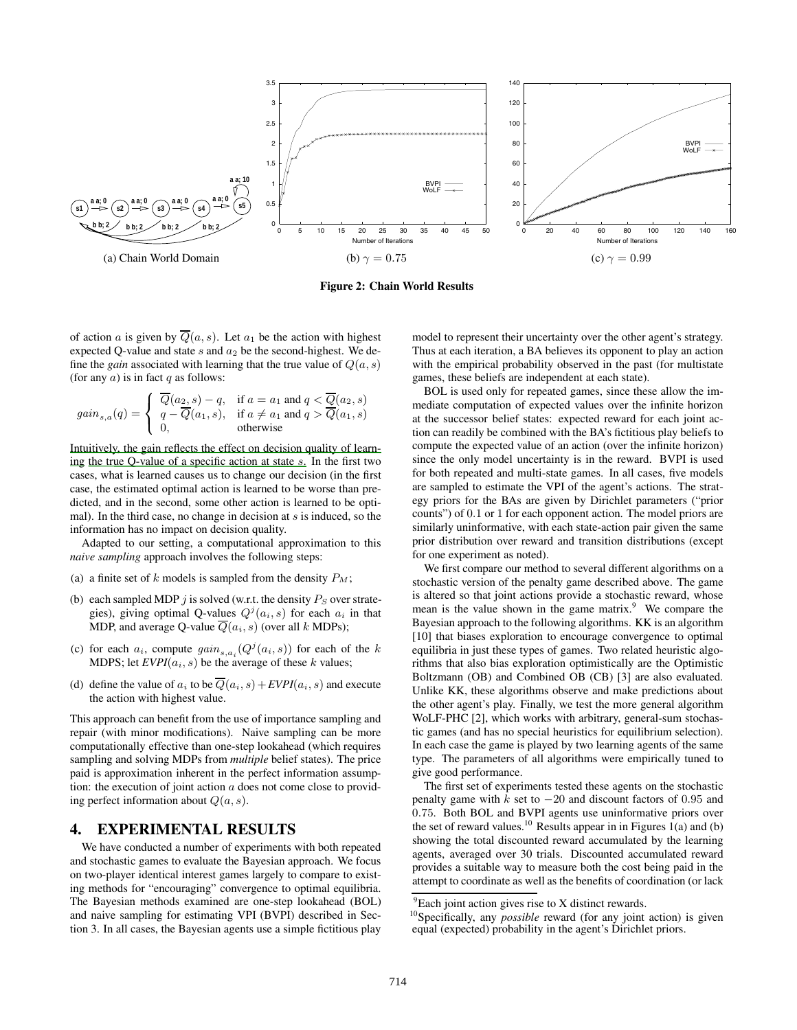

**Figure 2: Chain World Results**

of action a is given by  $\overline{Q}(a, s)$ . Let  $a_1$  be the action with highest expected Q-value and state  $s$  and  $a_2$  be the second-highest. We define the *gain* associated with learning that the true value of  $Q(a, s)$ (for any  $a$ ) is in fact  $q$  as follows:

$$
gain_{s,a}(q) = \begin{cases} \overline{Q}(a_2, s) - q, & \text{if } a = a_1 \text{ and } q < \overline{Q}(a_2, s) \\ q - \overline{Q}(a_1, s), & \text{if } a \neq a_1 \text{ and } q > \overline{Q}(a_1, s) \\ 0, & \text{otherwise} \end{cases}
$$

Intuitively, the gain reflects the effect on decision quality of learning the true Q-value of a specific action at state  $s$ . In the first two cases, what is learned causes us to change our decision (in the first case, the estimated optimal action is learned to be worse than predicted, and in the second, some other action is learned to be optimal). In the third case, no change in decision at  $s$  is induced, so the information has no impact on decision quality.

Adapted to our setting, a computational approximation to this *naive sampling* approach involves the following steps:

- (a) a finite set of  $k$  models is sampled from the density  $P_M$ ;
- (b) each sampled MDP j is solved (w.r.t. the density  $P_S$  over strategies), giving optimal Q-values  $Q^{j}(a_i, s)$  for each  $a_i$  in that MDP, and average Q-value  $\overline{Q}(a_i, s)$  (over all k MDPs);
- (c) for each  $a_i$ , compute  $gain_{s,a_i}(Q^j(a_i, s))$  for each of the k MDPS; let  $EVPI(a_i, s)$  be the average of these k values;
- (d) define the value of  $a_i$  to be  $\overline{Q}(a_i, s) + EVPI(a_i, s)$  and execute the action with highest value.

This approach can benefit from the use of importance sampling and repair (with minor modifications). Naive sampling can be more computationally effective than one-step lookahead (which requires sampling and solving MDPs from *multiple* belief states). The price paid is approximation inherent in the perfect information assumption: the execution of joint action  $a$  does not come close to providing perfect information about  $Q(a, s)$ .

## **4. EXPERIMENTAL RESULTS**

We have conducted a number of experiments with both repeated and stochastic games to evaluate the Bayesian approach. We focus on two-player identical interest games largely to compare to existing methods for "encouraging" convergence to optimal equilibria. The Bayesian methods examined are one-step lookahead (BOL) and naive sampling for estimating VPI (BVPI) described in Section 3. In all cases, the Bayesian agents use a simple fictitious play model to represent their uncertainty over the other agent's strategy. Thus at each iteration, a BA believes its opponent to play an action with the empirical probability observed in the past (for multistate games, these beliefs are independent at each state).

BOL is used only for repeated games, since these allow the immediate computation of expected values over the infinite horizon at the successor belief states: expected reward for each joint action can readily be combined with the BA's fictitious play beliefs to compute the expected value of an action (over the infinite horizon) since the only model uncertainty is in the reward. BVPI is used for both repeated and multi-state games. In all cases, five models are sampled to estimate the VPI of the agent's actions. The strategy priors for the BAs are given by Dirichlet parameters ("prior counts") of 0.1 or 1 for each opponent action. The model priors are similarly uninformative, with each state-action pair given the same prior distribution over reward and transition distributions (except for one experiment as noted).

We first compare our method to several different algorithms on a stochastic version of the penalty game described above. The game is altered so that joint actions provide a stochastic reward, whose mean is the value shown in the game matrix. $9$  We compare the Bayesian approach to the following algorithms. KK is an algorithm [10] that biases exploration to encourage convergence to optimal equilibria in just these types of games. Two related heuristic algorithms that also bias exploration optimistically are the Optimistic Boltzmann (OB) and Combined OB (CB) [3] are also evaluated. Unlike KK, these algorithms observe and make predictions about the other agent's play. Finally, we test the more general algorithm WoLF-PHC [2], which works with arbitrary, general-sum stochastic games (and has no special heuristics for equilibrium selection). In each case the game is played by two learning agents of the same type. The parameters of all algorithms were empirically tuned to give good performance.

The first set of experiments tested these agents on the stochastic penalty game with k set to  $-20$  and discount factors of 0.95 and 0.75. Both BOL and BVPI agents use uninformative priors over the set of reward values.<sup>10</sup> Results appear in in Figures 1(a) and (b) showing the total discounted reward accumulated by the learning agents, averaged over 30 trials. Discounted accumulated reward provides a suitable way to measure both the cost being paid in the attempt to coordinate as well as the benefits of coordination (or lack

 ${}^{9}$ Each joint action gives rise to X distinct rewards.

<sup>10</sup>Specifically, any *possible* reward (for any joint action) is given equal (expected) probability in the agent's Dirichlet priors.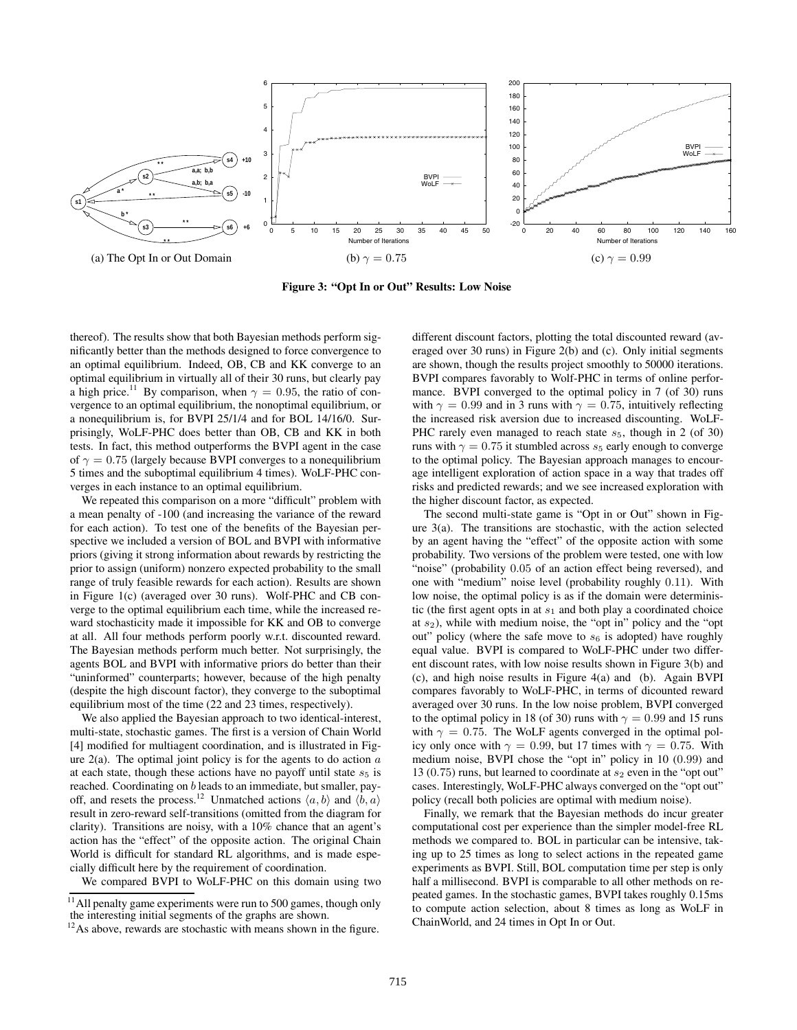

**Figure 3: "Opt In or Out" Results: Low Noise**

thereof). The results show that both Bayesian methods perform significantly better than the methods designed to force convergence to an optimal equilibrium. Indeed, OB, CB and KK converge to an optimal equilibrium in virtually all of their 30 runs, but clearly pay a high price.<sup>11</sup> By comparison, when  $\gamma = 0.95$ , the ratio of convergence to an optimal equilibrium, the nonoptimal equilibrium, or a nonequilibrium is, for BVPI 25/1/4 and for BOL 14/16/0. Surprisingly, WoLF-PHC does better than OB, CB and KK in both tests. In fact, this method outperforms the BVPI agent in the case of  $\gamma = 0.75$  (largely because BVPI converges to a nonequilibrium 5 times and the suboptimal equilibrium 4 times). WoLF-PHC converges in each instance to an optimal equilibrium.

We repeated this comparison on a more "difficult" problem with a mean penalty of -100 (and increasing the variance of the reward for each action). To test one of the benefits of the Bayesian perspective we included a version of BOL and BVPI with informative priors (giving it strong information about rewards by restricting the prior to assign (uniform) nonzero expected probability to the small range of truly feasible rewards for each action). Results are shown in Figure 1(c) (averaged over 30 runs). Wolf-PHC and CB converge to the optimal equilibrium each time, while the increased reward stochasticity made it impossible for KK and OB to converge at all. All four methods perform poorly w.r.t. discounted reward. The Bayesian methods perform much better. Not surprisingly, the agents BOL and BVPI with informative priors do better than their "uninformed" counterparts; however, because of the high penalty (despite the high discount factor), they converge to the suboptimal equilibrium most of the time (22 and 23 times, respectively).

We also applied the Bayesian approach to two identical-interest, multi-state, stochastic games. The first is a version of Chain World [4] modified for multiagent coordination, and is illustrated in Figure  $2(a)$ . The optimal joint policy is for the agents to do action  $a$ at each state, though these actions have no payoff until state  $s<sub>5</sub>$  is reached. Coordinating on b leads to an immediate, but smaller, payoff, and resets the process.<sup>12</sup> Unmatched actions  $\langle a, b \rangle$  and  $\langle \overline{b}, a \rangle$ result in zero-reward self-transitions (omitted from the diagram for clarity). Transitions are noisy, with a 10% chance that an agent's action has the "effect" of the opposite action. The original Chain World is difficult for standard RL algorithms, and is made especially difficult here by the requirement of coordination.

We compared BVPI to WoLF-PHC on this domain using two

different discount factors, plotting the total discounted reward (averaged over 30 runs) in Figure 2(b) and (c). Only initial segments are shown, though the results project smoothly to 50000 iterations. BVPI compares favorably to Wolf-PHC in terms of online performance. BVPI converged to the optimal policy in 7 (of 30) runs with  $\gamma = 0.99$  and in 3 runs with  $\gamma = 0.75$ , intuitively reflecting the increased risk aversion due to increased discounting. WoLF-PHC rarely even managed to reach state  $s_5$ , though in 2 (of 30) runs with  $\gamma = 0.75$  it stumbled across  $s_5$  early enough to converge to the optimal policy. The Bayesian approach manages to encourage intelligent exploration of action space in a way that trades off risks and predicted rewards; and we see increased exploration with the higher discount factor, as expected.

The second multi-state game is "Opt in or Out" shown in Figure 3(a). The transitions are stochastic, with the action selected by an agent having the "effect" of the opposite action with some probability. Two versions of the problem were tested, one with low "noise" (probability 0.05 of an action effect being reversed), and one with "medium" noise level (probability roughly 0.11). With low noise, the optimal policy is as if the domain were deterministic (the first agent opts in at  $s_1$  and both play a coordinated choice at  $s_2$ ), while with medium noise, the "opt in" policy and the "opt out" policy (where the safe move to  $s<sub>6</sub>$  is adopted) have roughly equal value. BVPI is compared to WoLF-PHC under two different discount rates, with low noise results shown in Figure 3(b) and (c), and high noise results in Figure 4(a) and (b). Again BVPI compares favorably to WoLF-PHC, in terms of dicounted reward averaged over 30 runs. In the low noise problem, BVPI converged to the optimal policy in 18 (of 30) runs with  $\gamma = 0.99$  and 15 runs with  $\gamma = 0.75$ . The WoLF agents converged in the optimal policy only once with  $\gamma = 0.99$ , but 17 times with  $\gamma = 0.75$ . With medium noise, BVPI chose the "opt in" policy in 10 (0.99) and 13 (0.75) runs, but learned to coordinate at  $s_2$  even in the "opt out" cases. Interestingly, WoLF-PHC always converged on the "opt out" policy (recall both policies are optimal with medium noise).

Finally, we remark that the Bayesian methods do incur greater computational cost per experience than the simpler model-free RL methods we compared to. BOL in particular can be intensive, taking up to 25 times as long to select actions in the repeated game experiments as BVPI. Still, BOL computation time per step is only half a millisecond. BVPI is comparable to all other methods on repeated games. In the stochastic games, BVPI takes roughly 0.15ms to compute action selection, about 8 times as long as WoLF in ChainWorld, and 24 times in Opt In or Out.

 $11$  All penalty game experiments were run to 500 games, though only the interesting initial segments of the graphs are shown.

<sup>&</sup>lt;sup>12</sup>As above, rewards are stochastic with means shown in the figure.